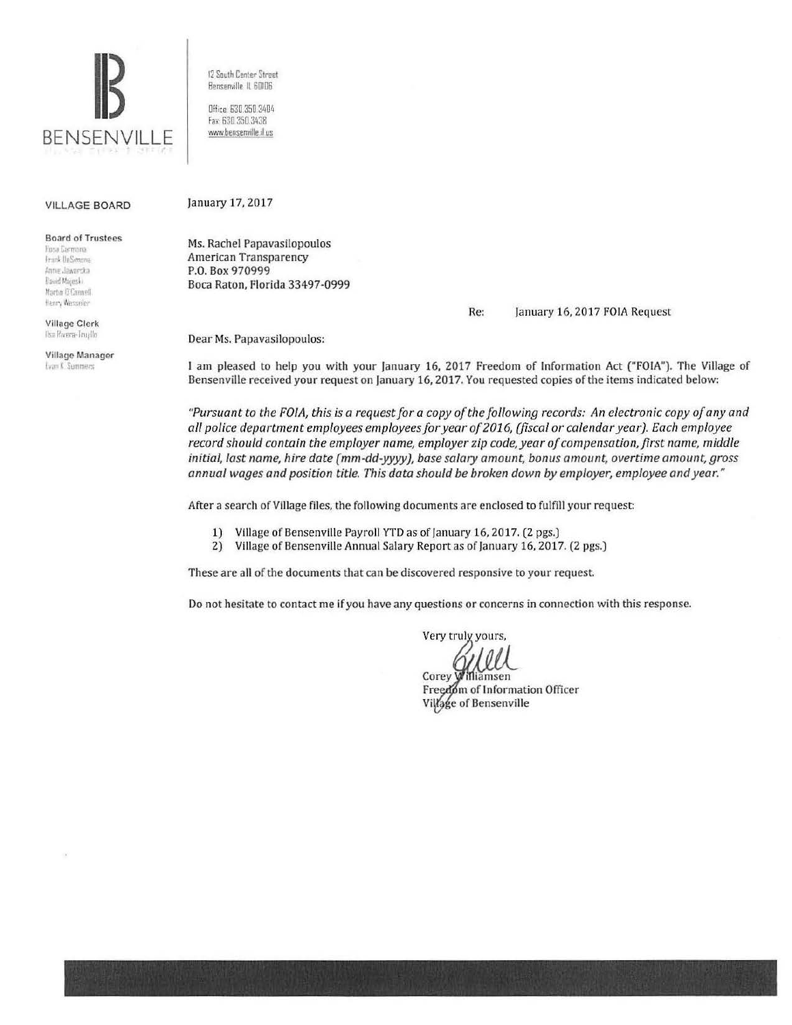

12 South Center Street Benserville IL 60106

Office: 630.350.3404 fa> 630 350 3438 www.bensenville.il us

### VILLAGE BOARD

Board of Trustees

**Husa Larmona** Frank DeSimona Anne Jaworska David Majeski. Martin O'Connell. tlenry Wesseler

Village Clerk llsa Rivera-Trupllo

Village Manager **Evan K. Summers** 

Ms. Rachel Papavasilopoulos

January 17, 2017

American Transparency P.O. Box 970999 Boca Raton, Florida 33497-0999

Re: January 16, 2017 FOIA Request

Dear Ms. Papavasilopoulos:

l am pleased to help you with your January 16, 2017 Freedom of Information Act ("FOIA"). The Village of Bensenville received your request on January 16, 2017. You requested copies of the items indicated below:

*"Pursuant to the FOIA, this* is *a request for a copy of the following records: An electronic copy of any and all police department employees employees for year of 2016, (fiscal or calendar year). Each employee record should contain the employer name, employer zip code, year of compensation, first name, middle initial, last name, hire date (mm-dd-yyyy), base salary amount, bonus amount, overtime amount, gross annual wages and position title. This data should be broken down by employer, employee and year."* 

After a search of Village files, the following documents are enclosed to fulfill your request:

- 1) Village of Bensenville Payroll YTD as of January 16, 2017. (2 pgs.)
- 2) Village of Bensenville Annual Salary Report as of January 16, 2017. (2 pgs.)

These are all of the documents that can be discovered responsive to your request.

Do not hesitate to contact me if you have any questions or concerns in connection with this response.

Very truly yours,

Corey Williamsen Freedom of Information Officer Village of Bensenville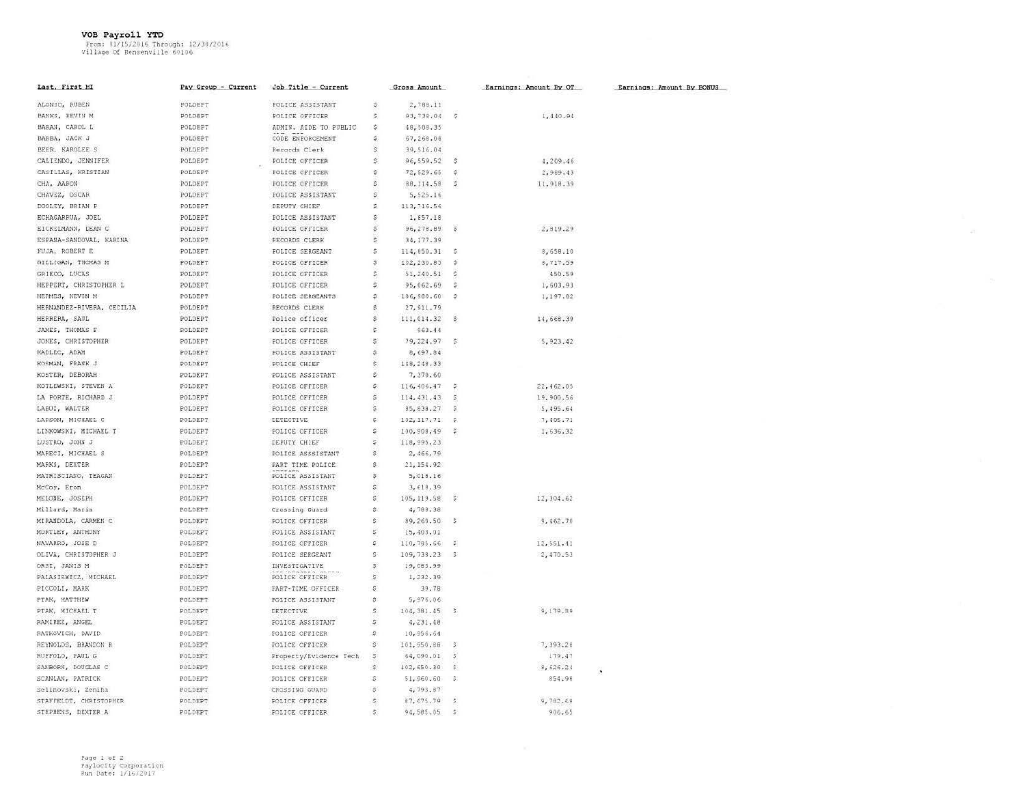VOB Payroll YTD<br>From: 01/15/2016 Through: 12/30/2016<br>Village Of Bensenville 60106

| Last, First MI            | Pay Group - Current | Job Title - Current     |                           | Gross Amount |                   | Earnings: Amount By OT | Earnings: Amount By BONUS |
|---------------------------|---------------------|-------------------------|---------------------------|--------------|-------------------|------------------------|---------------------------|
| ALONSO, RUBEN             | POLDEPT             | <b>FOLICE ASSISTANT</b> | \$                        | 2,788.11     |                   |                        |                           |
| BANKS, KEVIN M            | POLDEPT             | POLICE OFFICER          | S.                        | 93,738.04    | $\mathcal{G}$     | 1,440.94               |                           |
| BARAN, CAROL L            | POLDEPT             | ADMIN. AIDE TO PUBLIC   | \$                        | 48,508.35    |                   |                        |                           |
| BARBA, JACK J             | POLDEPT             | CODE ENFORCEMENT        | \$.                       | 67,268.08    |                   |                        |                           |
| BEER, KAROLEE S           | POLDEPT             | Records Clerk           | Ś                         | 39,516.04    |                   |                        |                           |
| CALIENDO, JENNIFER        | POLDEPT             | POLICE OFFICER          | S.                        | 96,559.52    | S.                | 4,209.46               |                           |
| CASILLAS, KRISTIAN        | POLDEPT             | POLICE OFFICER          | Š.                        | 72,529.65    | $\mathcal{Z}$     | 2,989,43               |                           |
| CHA, AARON                | POLDEPT             | POLICE OFFICER          | s.                        | 88,114.58    | s                 | 11, 918.39             |                           |
| CHAVEZ, OSCAR             | POLDEPT             | POLICE ASSISTANT        | s.                        | 5,525.16     |                   |                        |                           |
| DOOLEY, BRIAN P           | POLDEPT             | DEPUTY CHIEF            | s.                        | 113,716.56   |                   |                        |                           |
| ECHAGARRUA, JOEL          | POLDEPT             | POLICE ASSISTANT        | \$                        | 1,857.18     |                   |                        |                           |
| EICKELMANN, DEAN C        | POLDEPT             | POLICE OFFICER          | \$                        | 96,278.89    | $\mathbb{S}$      | 2,819.29               |                           |
| ESPANA-SANDOVAL, KARINA   | POLDEPT             | RECORDS CLERK           | $\tilde{s}$               | 34, 177.39   |                   |                        |                           |
| FUJA, ROBERT E            | POLDEPT             | <b>POLICE SERGEANT</b>  | \$.                       | 114,850.31   | - 5               | 8,658.10               |                           |
| GILLIGAN, THOMAS M        | POLDEPT             | POLICE OFFICER          | s.                        | 102,230.83   | s                 | 8,717.59               |                           |
| GRIECO, LUCAS             | POLDEPT             | POLICE OFFICER          | š.                        | 51,240.51    | G.                | 450.59                 |                           |
| HEPPERT, CHRISTOPHER L    | POLDEPT             | POLICE OFFICER          | Š.                        | 95,062.69    | s                 | 1,603.93               |                           |
| HERMES, KEVIN M           | POLDEPT             | POLICE SERGEANTS        | Ŝ.                        | 106,980.60   | s                 | 1,197.82               |                           |
| HERNANDEZ-RIVERA, CECILIA | POLDEPT             | RECORDS CLERK           | Ś                         | 27, 911.79   |                   |                        |                           |
| HERRERA, SAUL             | POLDEPT             | Police officer          | Ś                         | 111,014.32   | S.                | 14,668.39              |                           |
| JAMES, THOMAS F           | POLDEPT             | POLICE OFFICER          | \$.                       | 963.44       |                   |                        |                           |
| JONES, CHRISTOPHER        | POLDEPT             | POLICE OFFICER          | \$                        | 79,224.97    | $\ddot{s}$        | 5, 923.42              |                           |
| KADLEC, ADAM              | POLDEPT             | POLICE ASSISTANT        | \$.                       | 8,697.84     |                   |                        |                           |
| KOSMAN, FRANK J           | POLDEPT             | POLICE CHIEF            | \$                        | 148,248.33   |                   |                        |                           |
| KOSTER, DEBORAH           | POLDEPT             | POLICE ASSISTANT        | \$                        | 7,370.60     |                   |                        |                           |
| KOTLEWSKI, STEVEN A       | POLDEPT             | POLICE OFFICER          | \$.                       | 116,406,47   | $\ddot{\varphi}$  | 22, 462.05             |                           |
| LA PORTE, RICHARD J       | POLDEPT             | POLICE OFFICER          | s.                        | 114, 431, 43 | $\mathcal{L}$     | 19,900.56              |                           |
| LABUZ, WALTER             | POLDEPT             | POLICE OFFICER          | \$                        | 85,838.27    | S.                | 5,495.64               |                           |
| LARSON, MICHAEL C         | POLDEPT             | DETECTIVE               | Ş.                        | 102, 117.71  | \$.               | 7,405.71               |                           |
| LINKOWSKI, MICHAEL T      | POLDEPT             | POLICE OFFICER          | \$                        | 100,908.49   | $\tilde{\varphi}$ | 1,636.32               |                           |
| LUSTRO, JOHN J            | POLDEPT             | DEPUTY CHIEF            | \$                        | 118, 995.23  |                   |                        |                           |
| MARECI, MICHAEL S         | POLDEPT             | POLICE ASSSISTANT       | $\tilde{\mathbb{S}}$      | 2,466.79     |                   |                        |                           |
| MARKS, DEXTER             | POLDEPT             | PART TIME POLICE        | S.                        | 21, 154.92   |                   |                        |                           |
| MATRISCIANO, TEAGAN       | POLDEPT             | POLICE ASSISTANT        | $\widetilde{\mathcal{G}}$ | 5,018.16     |                   |                        |                           |
| McCoy, Eron               | POLDEPT             | POLICE ASSISTANT        | \$                        | 3,618.39     |                   |                        |                           |
| MELONE, JOSEPH            | POLDEPT             | POLICE OFFICER          | s.                        | 105, 119.58  | $\mathbb{S}^2$    | 12, 304.62             |                           |
| Millard, Maria            | POLDEPT             | Crossing Guard          | s:                        | 4,788.38     |                   |                        |                           |
| MIRANDOLA, CARMEN C       | POLDEPT             | POLICE OFFICER          | š.                        | 89,260.50    | s.                | 9,462.70               |                           |
| MORTLEY, ANTHONY          | POLDEPT             | POLICE ASSISTANT        | s.                        | 15,403.01    |                   |                        |                           |
| NAVARRO, JOSE D           | POLDEPT             | POLICE OFFICER          | $\mathbb S$               | 110,785.66   | S.                | 12,551.41              |                           |
| OLIVA, CHRISTOPHER J      | POLDEPT             | POLICE SERGEANT         | S.                        | 109,738.23   | $\mathcal{S}$     | 2,470.53               |                           |
| ORSI, JANIS M             | POLDEPT             | INVESTIGATIVE           | s.                        | 19,083.99    |                   |                        |                           |
| PALASIEWICZ, MICHAEL      | POLDEPT             | POLICE OFFICER          | S                         | 1,232.39     |                   |                        |                           |
| PICCOLI, MARK             | POLDEPT             | PART-TIME OFFICER       | $\mathbb{S}$              | 39.78        |                   |                        |                           |
| PTAK, MATTHEW             | POLDEPT             | POLICE ASSISTANT        | $\mathbf{s}$              | 5,976.06     |                   |                        |                           |
| PTAK, MICHAEL T           | POLDEPT             | DETECTIVE               | Š.                        | 104, 381.45  | $\mathfrak{S}$    | 9,179.89               |                           |
| RAMIREZ, ANGEL            | POLDEPT             | POLICE ASSISTANT        | 5                         | 4,231.48     |                   |                        |                           |
| <b>BATKOVICH, DAVID</b>   | POLDEPT             | POLICE OFFICER          | S.                        | 10,956.64    |                   |                        |                           |
| REYNOLDS, BRANDON R       | POLDEPT             | POLICE OFFICER          | $\mathbb{S}^1$            | 101,950.88   | S.                | 7,393.28               |                           |
| RUFFOLO, PAUL G           | POLDEPT             | Property/Evidence Tech  | Ş                         | 64,090.01    | \$                | 179.47                 |                           |
| SANBORN, DOUGLAS C        | POLDEPT             | POLICE OFFICER          | $\hat{\mathcal{V}}$       | 102,650.30   | $\mathcal{S}$     | 8,626.24               |                           |
| SCANLAN, PATRICK          | POLDEPT             | POLICE OFFICER          | \$                        | 51,960.60    | $\mathcal{S}$     | 854.98                 |                           |
| Selimovski, Zeniha        | POLDEPT             | CROSSING GUARD          | $\mathbb{S}$              | 4,793.87     |                   |                        |                           |
| STAFFELDT, CHRISTOPHER    | POLDEPT             | POLICE OFFICER          | $5^{\circ}$               | 87,675.79    | $\mathbb{Z}$      | 9,782.69               |                           |
| STEPHENS, DEXTER A        | POLDEPT             | POLICE OFFICER          | 5                         | 94,585.05    | $\overline{S}$    | 906.65                 |                           |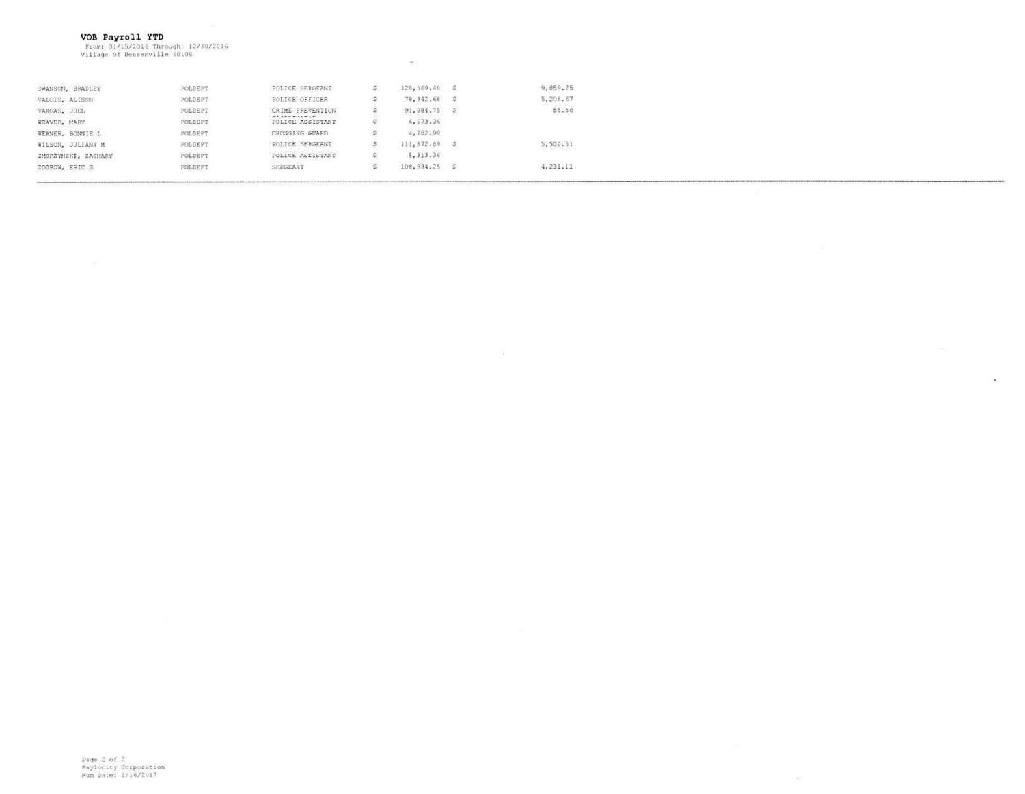VOB Payroll YTD<br>From: 01/15/2016 Through: 12/30/2016<br>Village Of Bensenville 60106

|                     |         |                                        |                 | March 1999 and Concerns of the    |
|---------------------|---------|----------------------------------------|-----------------|-----------------------------------|
| SWANSON, BRADLEY    | POLDEPT | POLICE SERGEANT                        | 120,569,40 \$   | 9,859.75                          |
| VALOIS, ALISON      | POLDERT | POLICE OFFICER                         | 78,342.68 0     | 5,208.67                          |
| VARGAS, JOEL        | POLDERT | CRIME PREVENTION                       | 91,084.75       | 85,56                             |
| WEAVER, MARY        | POLDEPT | MA CONTRACTOR MANY<br>POLICE ASSISTANT | 6,573.36        |                                   |
| WERNER, BONNIE L    | POLDERT | CROSSING GUARD                         | 4,782.90        |                                   |
| WILSON, JULIANN M   | POLDERT | POLICE SERGEANT                        | 111,872.89      | CONTRACTOR CONTRACTOR<br>5,502.51 |
| ZMORZYMSKI, ZACHARY | POLDEPT | POLICE ASSISTANT                       | 5, 313.36       |                                   |
| ZODROW, ERIC S      | POLDERT | SERGEANT                               | $108,934.25$ \$ | 4,231.11                          |
|                     |         |                                        |                 |                                   |

 $\lambda$ 

 $\mathcal{P}_{\mathcal{C}}$ 

 $\rightarrow$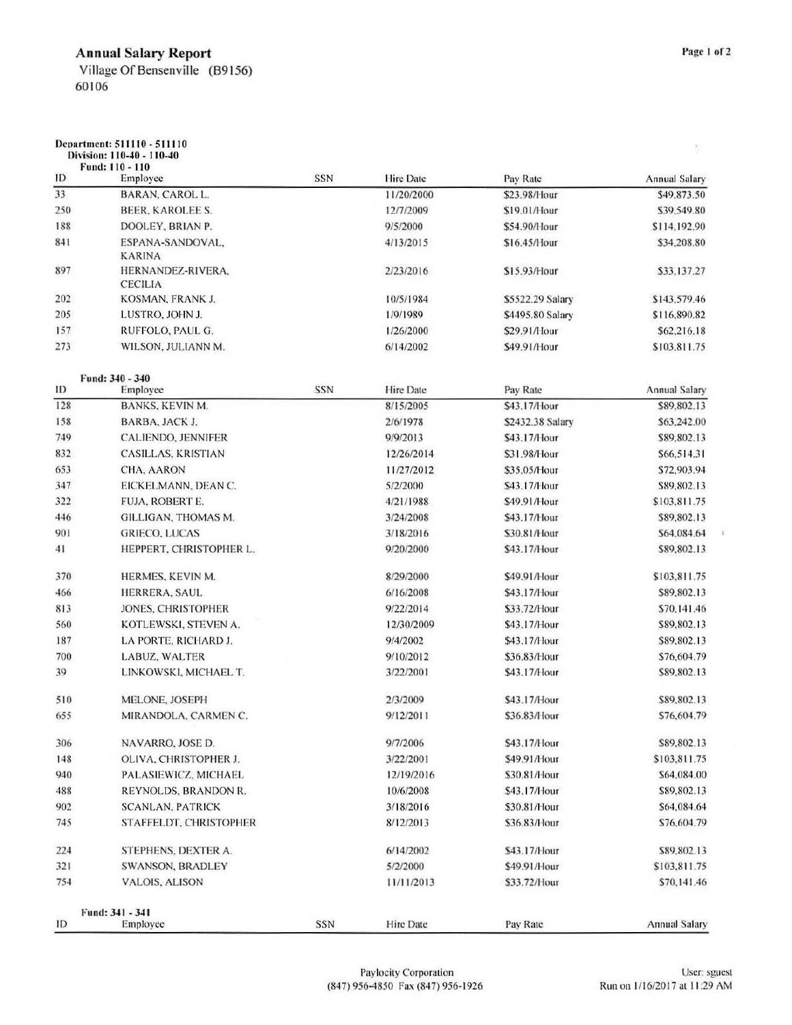## Annual Salary Report

Village Of Bensenville (89156) 60106

 $\overline{\mathbb{D}}$ 

ì.

### Ocoartmcnt: 511I 10 - 51I 110

| ID<br>33<br>250<br>188<br>841<br>897<br>202<br>205<br>157<br>273 | Employee<br><b>BARAN, CAROL L.</b><br>BEER, KAROLEE S.<br>DOOLEY, BRIAN P.<br>ESPANA-SANDOVAL,<br><b>KARINA</b><br>HERNANDEZ-RIVERA,<br><b>CECILIA</b><br>KOSMAN, FRANK J.<br>LUSTRO, JOHN J.<br>RUFFOLO, PAUL G. | <b>SSN</b> | <b>Hire Date</b><br>11/20/2000<br>12/7/2009<br>9/5/2000<br>4/13/2015<br>2/23/2016 | Pay Rate<br>\$23.98/Hour<br>\$19.01/Hour<br>\$54.90/Hour<br>\$16.45/Hour | <b>Annual Salary</b><br>\$49,873.50<br>\$39,549.80<br>\$114,192.90<br>\$34,208.80 |
|------------------------------------------------------------------|-------------------------------------------------------------------------------------------------------------------------------------------------------------------------------------------------------------------|------------|-----------------------------------------------------------------------------------|--------------------------------------------------------------------------|-----------------------------------------------------------------------------------|
|                                                                  |                                                                                                                                                                                                                   |            |                                                                                   |                                                                          |                                                                                   |
|                                                                  |                                                                                                                                                                                                                   |            |                                                                                   |                                                                          |                                                                                   |
|                                                                  |                                                                                                                                                                                                                   |            |                                                                                   |                                                                          |                                                                                   |
|                                                                  |                                                                                                                                                                                                                   |            |                                                                                   |                                                                          |                                                                                   |
|                                                                  |                                                                                                                                                                                                                   |            |                                                                                   |                                                                          |                                                                                   |
|                                                                  |                                                                                                                                                                                                                   |            |                                                                                   | \$15.93/Hour                                                             |                                                                                   |
|                                                                  |                                                                                                                                                                                                                   |            |                                                                                   |                                                                          | \$33,137.27                                                                       |
|                                                                  |                                                                                                                                                                                                                   |            | 10/5/1984                                                                         | \$5522.29 Salary                                                         | \$143,579.46                                                                      |
|                                                                  |                                                                                                                                                                                                                   |            | 1/9/1989                                                                          | \$4495.80 Salary                                                         | \$116,890.82                                                                      |
|                                                                  |                                                                                                                                                                                                                   |            | 1/26/2000                                                                         | \$29.91/Hour                                                             | \$62,216.18                                                                       |
|                                                                  | WILSON, JULIANN M.                                                                                                                                                                                                |            | 6/14/2002                                                                         | \$49.91/Hour                                                             | \$103,811.75                                                                      |
| Fund: 340 - 340                                                  |                                                                                                                                                                                                                   |            |                                                                                   |                                                                          |                                                                                   |
| ID                                                               | Employee                                                                                                                                                                                                          | SSN        | Hire Date                                                                         | Pay Rate                                                                 | Annual Salary                                                                     |
| 128                                                              | BANKS, KEVIN M.                                                                                                                                                                                                   |            | 8/15/2005                                                                         | \$43.17/Hour                                                             | \$89,802.13                                                                       |
| 158                                                              | BARBA, JACK J.                                                                                                                                                                                                    |            | 2/6/1978                                                                          | \$2432.38 Salary                                                         | \$63,242.00                                                                       |
| 749                                                              | <b>CALIENDO, JENNIFER</b>                                                                                                                                                                                         |            | 9/9/2013                                                                          | \$43.17/Hour                                                             | \$89,802.13                                                                       |
| 832                                                              | CASILLAS, KRISTIAN                                                                                                                                                                                                |            | 12/26/2014                                                                        | \$31.98/Hour                                                             | \$66,514.31                                                                       |
| 653                                                              | CHA, AARON                                                                                                                                                                                                        |            | 11/27/2012                                                                        | \$35.05/Hour                                                             | \$72,903.94                                                                       |
| 347                                                              | EICKELMANN, DEAN C.                                                                                                                                                                                               |            | 5/2/2000                                                                          | \$43.17/Hour                                                             | \$89,802.13                                                                       |
| 322                                                              | FUJA, ROBERT E.                                                                                                                                                                                                   |            | 4/21/1988                                                                         | \$49.91/Hour                                                             | \$103,811.75                                                                      |
| 446                                                              | GILLIGAN, THOMAS M.                                                                                                                                                                                               |            | 3/24/2008                                                                         | \$43.17/Hour                                                             | \$89,802.13                                                                       |
| 901                                                              | <b>GRIECO, LUCAS</b>                                                                                                                                                                                              |            | 3/18/2016                                                                         | \$30.81/Hour                                                             | \$64,084.64                                                                       |
| 41                                                               | HEPPERT, CHRISTOPHER L.                                                                                                                                                                                           |            | 9/20/2000                                                                         | \$43.17/Hour                                                             | \$89,802.13                                                                       |
| 370                                                              | HERMES, KEVIN M.                                                                                                                                                                                                  |            | 8/29/2000                                                                         | \$49.91/Hour                                                             | \$103,811.75                                                                      |
| 466                                                              | HERRERA, SAUL                                                                                                                                                                                                     |            | 6/16/2008                                                                         | \$43.17/Hour                                                             | \$89,802.13                                                                       |
| 813                                                              | JONES, CHRISTOPHER                                                                                                                                                                                                |            | 9/22/2014                                                                         | \$33.72/Hour                                                             | \$70,141.46                                                                       |
| 560                                                              | KOTLEWSKI, STEVEN A.                                                                                                                                                                                              |            | 12/30/2009                                                                        | \$43.17/Hour                                                             | \$89,802.13                                                                       |
| 187                                                              | LA PORTE, RICHARD J.                                                                                                                                                                                              |            | 9/4/2002                                                                          | \$43.17/Hour                                                             | \$89,802.13                                                                       |
| 700                                                              | LABUZ, WALTER                                                                                                                                                                                                     |            | 9/10/2012                                                                         | \$36.83/Hour                                                             | \$76,604.79                                                                       |
| 39                                                               | LINKOWSKI, MICHAEL T.                                                                                                                                                                                             |            | 3/22/2001                                                                         | \$43.17/Hour                                                             | \$89,802.13                                                                       |
| 510                                                              | MELONE, JOSEPH                                                                                                                                                                                                    |            | 2/3/2009                                                                          | \$43.17/Hour                                                             | \$89,802.13                                                                       |
| 655                                                              | MIRANDOLA, CARMEN C.                                                                                                                                                                                              |            | 9/12/2011                                                                         | \$36.83/Hour                                                             | \$76,604.79                                                                       |
| 306                                                              | NAVARRO, JOSE D.                                                                                                                                                                                                  |            | 9/7/2006                                                                          | \$43.17/Hour                                                             | \$89,802.13                                                                       |
| 148                                                              | OLIVA, CHRISTOPHER J.                                                                                                                                                                                             |            | 3/22/2001                                                                         | \$49.91/Hour                                                             | \$103,811.75                                                                      |
| 940                                                              | PALASIEWICZ, MICHAEL                                                                                                                                                                                              |            | 12/19/2016                                                                        | \$30.81/Hour                                                             | \$64,084.00                                                                       |
| 488                                                              | REYNOLDS, BRANDON R.                                                                                                                                                                                              |            | 10/6/2008                                                                         | \$43.17/Hour                                                             | \$89,802.13                                                                       |
| 902                                                              | <b>SCANLAN, PATRICK</b>                                                                                                                                                                                           |            | 3/18/2016                                                                         | \$30.81/Hour                                                             | \$64,084.64                                                                       |
| 745                                                              | STAFFELDT, CHRISTOPHER                                                                                                                                                                                            |            | 8/12/2013                                                                         | \$36.83/Hour                                                             | \$76,604.79                                                                       |
| 224                                                              | STEPHENS, DEXTER A.                                                                                                                                                                                               |            | 6/14/2002                                                                         | \$43.17/Hour                                                             | \$89,802.13                                                                       |
| 321                                                              | <b>SWANSON, BRADLEY</b>                                                                                                                                                                                           |            | 5/2/2000                                                                          | \$49.91/Hour                                                             | \$103,811.75                                                                      |
| 754                                                              | VALOIS, ALISON                                                                                                                                                                                                    |            | 11/11/2013                                                                        | \$33.72/Hour                                                             | \$70,141.46                                                                       |
| Fund: 341 - 341<br>ID                                            | Employee                                                                                                                                                                                                          | SSN        | Hire Date                                                                         | Pay Rate                                                                 | <b>Annual Salary</b>                                                              |